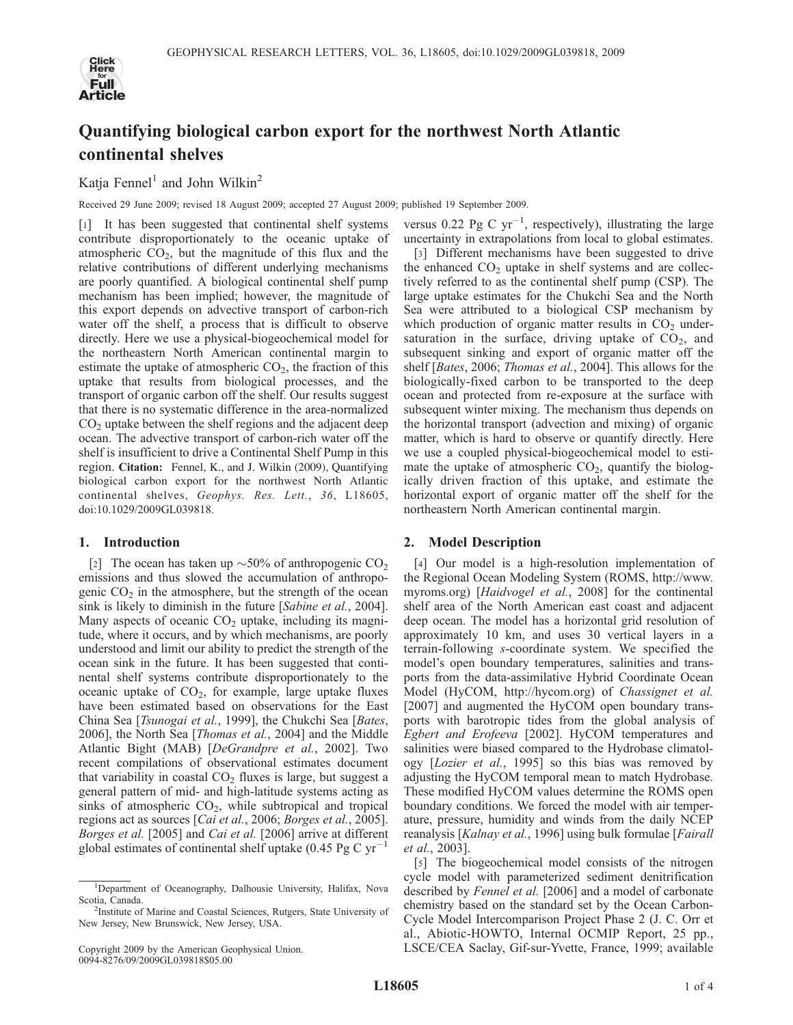

# Quantifying biological carbon export for the northwest North Atlantic continental shelves

Katja Fennel<sup>1</sup> and John Wilkin<sup>2</sup>

Received 29 June 2009; revised 18 August 2009; accepted 27 August 2009; published 19 September 2009.

[1] It has been suggested that continental shelf systems contribute disproportionately to the oceanic uptake of atmospheric  $CO<sub>2</sub>$ , but the magnitude of this flux and the relative contributions of different underlying mechanisms are poorly quantified. A biological continental shelf pump mechanism has been implied; however, the magnitude of this export depends on advective transport of carbon-rich water off the shelf, a process that is difficult to observe directly. Here we use a physical-biogeochemical model for the northeastern North American continental margin to estimate the uptake of atmospheric  $CO<sub>2</sub>$ , the fraction of this uptake that results from biological processes, and the transport of organic carbon off the shelf. Our results suggest that there is no systematic difference in the area-normalized  $CO<sub>2</sub>$  uptake between the shelf regions and the adjacent deep ocean. The advective transport of carbon-rich water off the shelf is insufficient to drive a Continental Shelf Pump in this region. Citation: Fennel, K., and J. Wilkin (2009), Quantifying biological carbon export for the northwest North Atlantic continental shelves, Geophys. Res. Lett., 36, L18605, doi:10.1029/2009GL039818.

### 1. Introduction

[2] The ocean has taken up  $\sim$  50% of anthropogenic CO<sub>2</sub> emissions and thus slowed the accumulation of anthropogenic  $CO<sub>2</sub>$  in the atmosphere, but the strength of the ocean sink is likely to diminish in the future [Sabine et al., 2004]. Many aspects of oceanic  $CO<sub>2</sub>$  uptake, including its magnitude, where it occurs, and by which mechanisms, are poorly understood and limit our ability to predict the strength of the ocean sink in the future. It has been suggested that continental shelf systems contribute disproportionately to the oceanic uptake of  $CO<sub>2</sub>$ , for example, large uptake fluxes have been estimated based on observations for the East China Sea [Tsunogai et al., 1999], the Chukchi Sea [Bates, 2006], the North Sea [Thomas et al., 2004] and the Middle Atlantic Bight (MAB) [DeGrandpre et al., 2002]. Two recent compilations of observational estimates document that variability in coastal  $CO<sub>2</sub>$  fluxes is large, but suggest a general pattern of mid- and high-latitude systems acting as sinks of atmospheric  $CO<sub>2</sub>$ , while subtropical and tropical regions act as sources [Cai et al., 2006; Borges et al., 2005]. Borges et al. [2005] and *Cai et al.* [2006] arrive at different<br>global estimates of continental shelf untake (0.45 Bg C  $yr^{-1}$ ) global estimates of continental shelf uptake (0.45 Pg C  $yr^-$ 

versus 0.22 Pg C  $yr^{-1}$ , respectively), illustrating the large uncertainty in extrapolations from local to global estimates.

[3] Different mechanisms have been suggested to drive the enhanced  $CO<sub>2</sub>$  uptake in shelf systems and are collectively referred to as the continental shelf pump (CSP). The large uptake estimates for the Chukchi Sea and the North Sea were attributed to a biological CSP mechanism by which production of organic matter results in  $CO<sub>2</sub>$  undersaturation in the surface, driving uptake of  $CO<sub>2</sub>$ , and subsequent sinking and export of organic matter off the shelf [Bates, 2006; Thomas et al., 2004]. This allows for the biologically-fixed carbon to be transported to the deep ocean and protected from re-exposure at the surface with subsequent winter mixing. The mechanism thus depends on the horizontal transport (advection and mixing) of organic matter, which is hard to observe or quantify directly. Here we use a coupled physical-biogeochemical model to estimate the uptake of atmospheric  $CO<sub>2</sub>$ , quantify the biologically driven fraction of this uptake, and estimate the horizontal export of organic matter off the shelf for the northeastern North American continental margin.

## 2. Model Description

[4] Our model is a high-resolution implementation of the Regional Ocean Modeling System (ROMS, http://www. myroms.org) [Haidvogel et al., 2008] for the continental shelf area of the North American east coast and adjacent deep ocean. The model has a horizontal grid resolution of approximately 10 km, and uses 30 vertical layers in a terrain-following s-coordinate system. We specified the model's open boundary temperatures, salinities and transports from the data-assimilative Hybrid Coordinate Ocean Model (HyCOM, http://hycom.org) of Chassignet et al. [2007] and augmented the HyCOM open boundary transports with barotropic tides from the global analysis of Egbert and Erofeeva [2002]. HyCOM temperatures and salinities were biased compared to the Hydrobase climatology [Lozier et al., 1995] so this bias was removed by adjusting the HyCOM temporal mean to match Hydrobase. These modified HyCOM values determine the ROMS open boundary conditions. We forced the model with air temperature, pressure, humidity and winds from the daily NCEP reanalysis [Kalnay et al., 1996] using bulk formulae [Fairall et al., 2003].

[5] The biogeochemical model consists of the nitrogen cycle model with parameterized sediment denitrification described by Fennel et al. [2006] and a model of carbonate chemistry based on the standard set by the Ocean Carbon-Cycle Model Intercomparison Project Phase 2 (J. C. Orr et al., Abiotic-HOWTO, Internal OCMIP Report, 25 pp., LSCE/CEA Saclay, Gif-sur-Yvette, France, 1999; available

<sup>&</sup>lt;sup>1</sup>Department of Oceanography, Dalhousie University, Halifax, Nova Scotia, Canada.

<sup>&</sup>lt;sup>2</sup>Institute of Marine and Coastal Sciences, Rutgers, State University of New Jersey, New Brunswick, New Jersey, USA.

Copyright 2009 by the American Geophysical Union. 0094-8276/09/2009GL039818\$05.00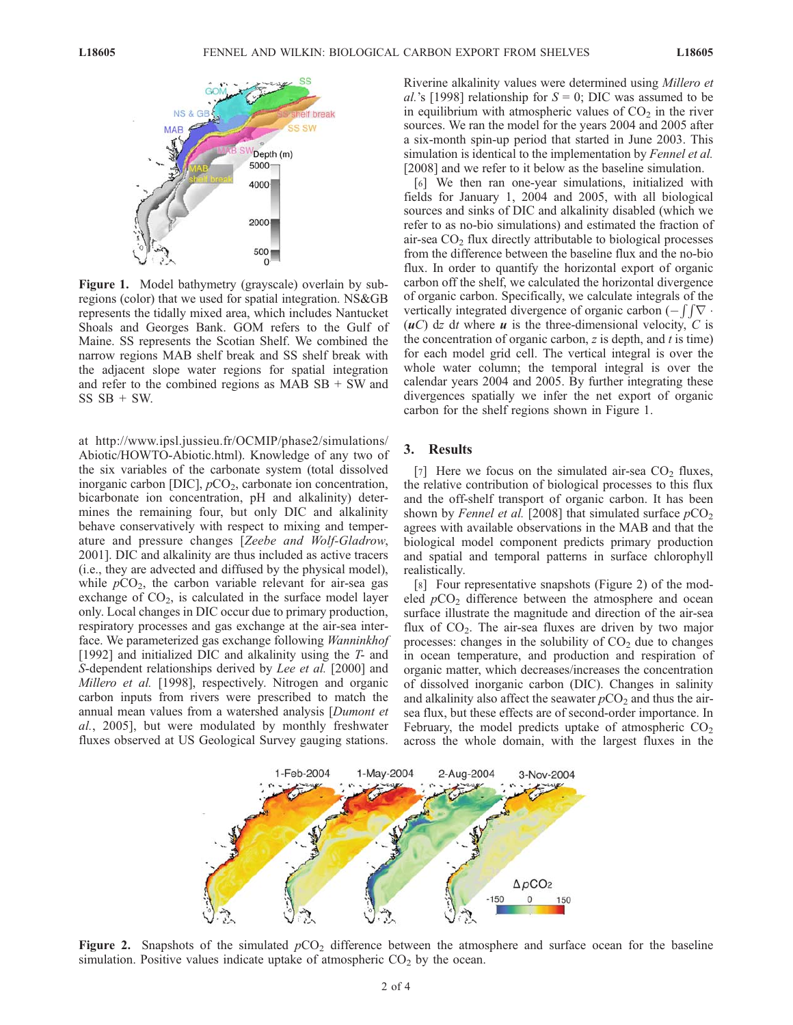

Figure 1. Model bathymetry (grayscale) overlain by subregions (color) that we used for spatial integration. NS&GB represents the tidally mixed area, which includes Nantucket Shoals and Georges Bank. GOM refers to the Gulf of Maine. SS represents the Scotian Shelf. We combined the narrow regions MAB shelf break and SS shelf break with the adjacent slope water regions for spatial integration and refer to the combined regions as  $MABSB + SW$  and  $SS$   $SB$  +  $SW$ .

at http://www.ipsl.jussieu.fr/OCMIP/phase2/simulations/ Abiotic/HOWTO-Abiotic.html). Knowledge of any two of the six variables of the carbonate system (total dissolved inorganic carbon [DIC],  $pCO<sub>2</sub>$ , carbonate ion concentration, bicarbonate ion concentration, pH and alkalinity) determines the remaining four, but only DIC and alkalinity behave conservatively with respect to mixing and temperature and pressure changes [Zeebe and Wolf-Gladrow, 2001]. DIC and alkalinity are thus included as active tracers (i.e., they are advected and diffused by the physical model), while  $pCO<sub>2</sub>$ , the carbon variable relevant for air-sea gas exchange of  $CO<sub>2</sub>$ , is calculated in the surface model layer only. Local changes in DIC occur due to primary production, respiratory processes and gas exchange at the air-sea interface. We parameterized gas exchange following Wanninkhof [1992] and initialized DIC and alkalinity using the  $T$ - and S-dependent relationships derived by Lee et al. [2000] and Millero et al. [1998], respectively. Nitrogen and organic carbon inputs from rivers were prescribed to match the annual mean values from a watershed analysis [Dumont et al., 2005], but were modulated by monthly freshwater fluxes observed at US Geological Survey gauging stations.

Riverine alkalinity values were determined using Millero et al.'s [1998] relationship for  $S = 0$ ; DIC was assumed to be in equilibrium with atmospheric values of  $CO<sub>2</sub>$  in the river sources. We ran the model for the years 2004 and 2005 after a six-month spin-up period that started in June 2003. This simulation is identical to the implementation by *Fennel et al.* [2008] and we refer to it below as the baseline simulation.

[6] We then ran one-year simulations, initialized with fields for January 1, 2004 and 2005, with all biological sources and sinks of DIC and alkalinity disabled (which we refer to as no-bio simulations) and estimated the fraction of air-sea  $CO<sub>2</sub>$  flux directly attributable to biological processes from the difference between the baseline flux and the no-bio flux. In order to quantify the horizontal export of organic carbon off the shelf, we calculated the horizontal divergence of organic carbon. Specifically, we calculate integrals of the vertically integrated divergence of organic carbon  $(-\int \int \nabla \cdot$  $(uC)$  dz dt where u is the three-dimensional velocity, C is the concentration of organic carbon,  $z$  is depth, and  $t$  is time) for each model grid cell. The vertical integral is over the whole water column; the temporal integral is over the calendar years 2004 and 2005. By further integrating these divergences spatially we infer the net export of organic carbon for the shelf regions shown in Figure 1.

#### 3. Results

[7] Here we focus on the simulated air-sea  $CO<sub>2</sub>$  fluxes, the relative contribution of biological processes to this flux and the off-shelf transport of organic carbon. It has been shown by Fennel et al. [2008] that simulated surface  $pCO<sub>2</sub>$ agrees with available observations in the MAB and that the biological model component predicts primary production and spatial and temporal patterns in surface chlorophyll realistically.

[8] Four representative snapshots (Figure 2) of the modeled  $pCO<sub>2</sub>$  difference between the atmosphere and ocean surface illustrate the magnitude and direction of the air-sea flux of  $CO<sub>2</sub>$ . The air-sea fluxes are driven by two major processes: changes in the solubility of  $CO<sub>2</sub>$  due to changes in ocean temperature, and production and respiration of organic matter, which decreases/increases the concentration of dissolved inorganic carbon (DIC). Changes in salinity and alkalinity also affect the seawater  $pCO<sub>2</sub>$  and thus the airsea flux, but these effects are of second-order importance. In February, the model predicts uptake of atmospheric  $CO<sub>2</sub>$ across the whole domain, with the largest fluxes in the



Figure 2. Snapshots of the simulated  $pCO<sub>2</sub>$  difference between the atmosphere and surface ocean for the baseline simulation. Positive values indicate uptake of atmospheric  $CO<sub>2</sub>$  by the ocean.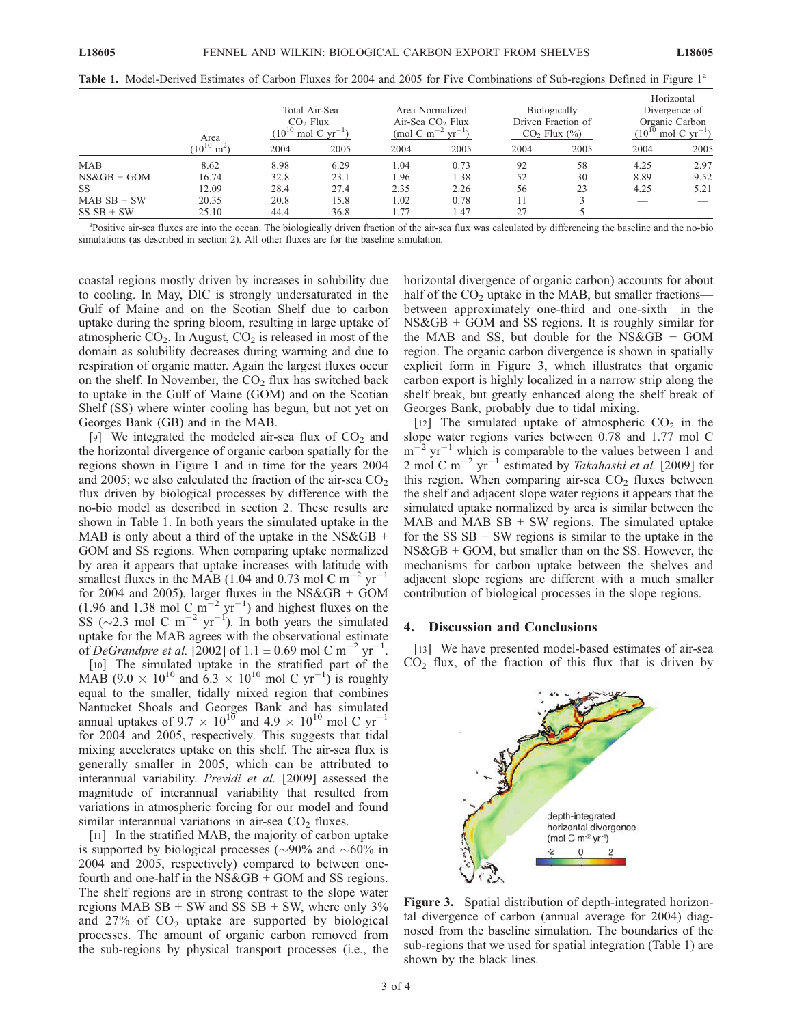|                | Area                        | Total Air-Sea<br>$CO2$ Flux<br>$(10^{10}$<br>$'$ mol C yr <sup>-1</sup> ) |      | Area Normalized<br>Air-Sea CO <sub>2</sub> Flux<br>(mod C m |      | Biologically<br>Driven Fraction of<br>$CO2$ Flux $(\%$ ) |      | Horizontal<br>Divergence of<br>Organic Carbon<br>mol C $yr^{-1}$ )<br>$10^{\circ}$ |      |
|----------------|-----------------------------|---------------------------------------------------------------------------|------|-------------------------------------------------------------|------|----------------------------------------------------------|------|------------------------------------------------------------------------------------|------|
|                | $10^{10}$<br>m <sup>2</sup> | 2004                                                                      | 2005 | 2004                                                        | 2005 | 2004                                                     | 2005 | 2004                                                                               | 2005 |
| <b>MAB</b>     | 8.62                        | 8.98                                                                      | 6.29 | 1.04                                                        | 0.73 | 92                                                       | 58   | 4.25                                                                               | 2.97 |
| $NS\&GB + GOM$ | 16.74                       | 32.8                                                                      | 23.1 | 1.96                                                        | 1.38 | 52                                                       | 30   | 8.89                                                                               | 9.52 |
| <b>SS</b>      | 12.09                       | 28.4                                                                      | 27.4 | 2.35                                                        | 2.26 | 56                                                       | 23   | 4.25                                                                               | 5.21 |
| $MABSB + SW$   | 20.35                       | 20.8                                                                      | 15.8 | 1.02                                                        | 0.78 | 11                                                       |      | __                                                                                 |      |
| $SS SB + SW$   | 25.10                       | 44.4                                                                      | 36.8 | l.77                                                        | 1.47 | 27                                                       |      |                                                                                    |      |

Table 1. Model-Derived Estimates of Carbon Fluxes for 2004 and 2005 for Five Combinations of Sub-regions Defined in Figure 1<sup>a</sup>

<sup>a</sup>Positive air-sea fluxes are into the ocean. The biologically driven fraction of the air-sea flux was calculated by differencing the baseline and the no-bio simulations (as described in section 2). All other fluxes are for the baseline simulation.

coastal regions mostly driven by increases in solubility due to cooling. In May, DIC is strongly undersaturated in the Gulf of Maine and on the Scotian Shelf due to carbon uptake during the spring bloom, resulting in large uptake of atmospheric  $CO<sub>2</sub>$ . In August,  $CO<sub>2</sub>$  is released in most of the domain as solubility decreases during warming and due to respiration of organic matter. Again the largest fluxes occur on the shelf. In November, the  $CO<sub>2</sub>$  flux has switched back to uptake in the Gulf of Maine (GOM) and on the Scotian Shelf (SS) where winter cooling has begun, but not yet on Georges Bank (GB) and in the MAB.

[9] We integrated the modeled air-sea flux of  $CO<sub>2</sub>$  and the horizontal divergence of organic carbon spatially for the regions shown in Figure 1 and in time for the years 2004 and 2005; we also calculated the fraction of the air-sea  $CO<sub>2</sub>$ flux driven by biological processes by difference with the no-bio model as described in section 2. These results are shown in Table 1. In both years the simulated uptake in the MAB is only about a third of the uptake in the NS&GB  $+$ GOM and SS regions. When comparing uptake normalized by area it appears that uptake increases with latitude with smallest fluxes in the MAB (1.04 and 0.73 mol C m<sup>-2</sup> yr<sup>-1</sup> for 2004 and 2005), larger fluxes in the NS&GB + GOM  $(1.96 \text{ and } 1.38 \text{ mol C m}^{-2} \text{ yr}^{-1})$  and highest fluxes on the SS ( $\sim$ 2.3 mol C m<sup>-2</sup> yr<sup>-1</sup>). In both years the simulated uptake for the MAB agrees with the observational estimate of DeGrandpre et al. [2002] of  $1.1 \pm 0.69$  mol C m<sup>-2</sup> yr<sup>-1</sup>.

[10] The simulated uptake in the stratified part of the MAB (9.0  $\times$  10<sup>10</sup> and 6.3  $\times$  10<sup>10</sup> mol C yr<sup>-1</sup>) is roughly equal to the smaller, tidally mixed region that combines Nantucket Shoals and Georges Bank and has simulated annual uptakes of 9.7  $\times$   $10^{10}$  and 4.9  $\times$   $10^{10}$  mol C yr<sup>-1</sup> for 2004 and 2005, respectively. This suggests that tidal mixing accelerates uptake on this shelf. The air-sea flux is generally smaller in 2005, which can be attributed to interannual variability. Previdi et al. [2009] assessed the magnitude of interannual variability that resulted from variations in atmospheric forcing for our model and found similar interannual variations in air-sea  $CO<sub>2</sub>$  fluxes.

[11] In the stratified MAB, the majority of carbon uptake is supported by biological processes ( $\sim$ 90% and  $\sim$ 60% in 2004 and 2005, respectively) compared to between onefourth and one-half in the  $NS\&GB + GOM$  and SS regions. The shelf regions are in strong contrast to the slope water regions MAB  $SB + SW$  and  $SS SB + SW$ , where only 3% and 27% of  $CO<sub>2</sub>$  uptake are supported by biological processes. The amount of organic carbon removed from the sub-regions by physical transport processes (i.e., the horizontal divergence of organic carbon) accounts for about half of the CO<sub>2</sub> uptake in the MAB, but smaller fractions between approximately one-third and one-sixth—in the NS&GB + GOM and SS regions. It is roughly similar for the MAB and SS, but double for the NS&GB + GOM region. The organic carbon divergence is shown in spatially explicit form in Figure 3, which illustrates that organic carbon export is highly localized in a narrow strip along the shelf break, but greatly enhanced along the shelf break of Georges Bank, probably due to tidal mixing.

[12] The simulated uptake of atmospheric  $CO<sub>2</sub>$  in the slope water regions varies between 0.78 and 1.77 mol C  $m^{-2}$  yr<sup>-1</sup> which is comparable to the values between 1 and 2 mol C m<sup>-2</sup> yr<sup>-1</sup> estimated by *Takahashi et al.* [2009] for this region. When comparing air-sea  $CO<sub>2</sub>$  fluxes between the shelf and adjacent slope water regions it appears that the simulated uptake normalized by area is similar between the MAB and MAB  $SB + SW$  regions. The simulated uptake for the  $SS$   $SB + SW$  regions is similar to the uptake in the NS&GB + GOM, but smaller than on the SS. However, the mechanisms for carbon uptake between the shelves and adjacent slope regions are different with a much smaller contribution of biological processes in the slope regions.

#### 4. Discussion and Conclusions

[13] We have presented model-based estimates of air-sea  $CO<sub>2</sub>$  flux, of the fraction of this flux that is driven by



Figure 3. Spatial distribution of depth-integrated horizontal divergence of carbon (annual average for 2004) diagnosed from the baseline simulation. The boundaries of the sub-regions that we used for spatial integration (Table 1) are shown by the black lines.